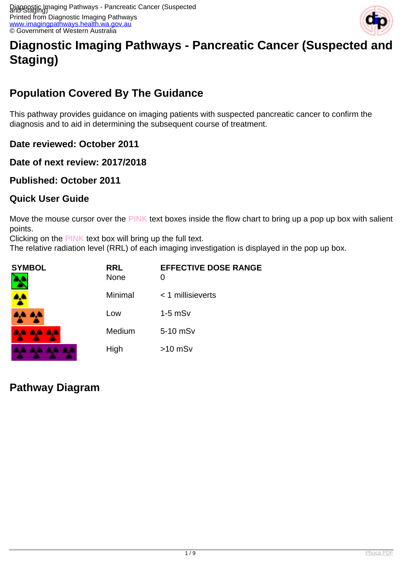

# **Diagnostic Imaging Pathways - Pancreatic Cancer (Suspected and Staging)**

# **Population Covered By The Guidance**

This pathway provides guidance on imaging patients with suspected pancreatic cancer to confirm the diagnosis and to aid in determining the subsequent course of treatment.

**Date reviewed: October 2011**

**Date of next review: 2017/2018**

**Published: October 2011**

#### **Quick User Guide**

Move the mouse cursor over the PINK text boxes inside the flow chart to bring up a pop up box with salient points.

Clicking on the PINK text box will bring up the full text.

The relative radiation level (RRL) of each imaging investigation is displayed in the pop up box.

| <b>SYMBOL</b> | <b>RRL</b><br>None | <b>EFFECTIVE DOSE RANGE</b><br>0 |
|---------------|--------------------|----------------------------------|
|               | Minimal            | $<$ 1 millisieverts              |
|               | Low                | $1-5$ mSv                        |
| 6. A.A.       | Medium             | 5-10 mSv                         |
|               | High               | $>10$ mSv                        |

## **Pathway Diagram**

. . . .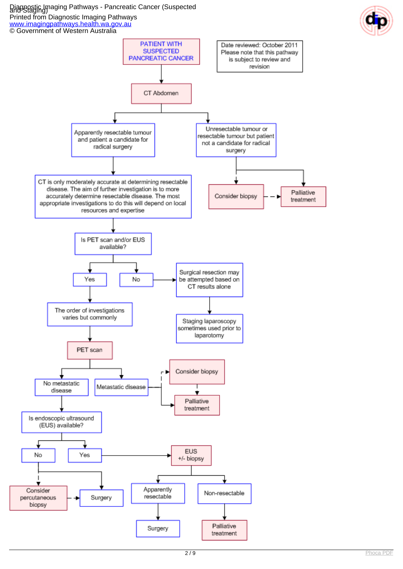#### Diagnostic Imaging Pathways - Pancreatic Cancer (Suspected and Staging) Printed from Diagnostic Imaging Pathways

[www.imagingpathways.health.wa.gov.au](http://www.imagingpathways.health.wa.gov.au/)

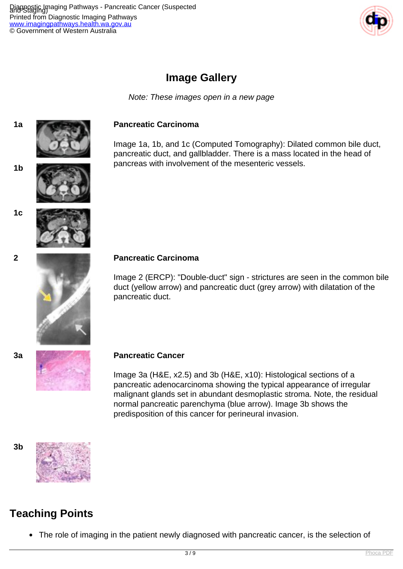Diagnostic Imaging Pathways - Pancreatic Cancer (Suspected and Staging) Printed from Diagnostic Imaging Pathways <u>ww.imagingpathways.health.wa.gov.au</u> © Government of Western Australia



### **Image Gallery**

Note: These images open in a new page



#### **1a Pancreatic Carcinoma**

Image 1a, 1b, and 1c (Computed Tomography): Dilated common bile duct, pancreatic duct, and gallbladder. There is a mass located in the head of pancreas with involvement of the mesenteric vessels. **1b**





**1c**



#### **2 Pancreatic Carcinoma**

Image 2 (ERCP): "Double-duct" sign - strictures are seen in the common bile duct (yellow arrow) and pancreatic duct (grey arrow) with dilatation of the pancreatic duct.



#### **3a Pancreatic Cancer**

Image 3a (H&E, x2.5) and 3b (H&E, x10): Histological sections of a pancreatic adenocarcinoma showing the typical appearance of irregular malignant glands set in abundant desmoplastic stroma. Note, the residual normal pancreatic parenchyma (blue arrow). Image 3b shows the predisposition of this cancer for perineural invasion.





## **Teaching Points**

The role of imaging in the patient newly diagnosed with pancreatic cancer, is the selection of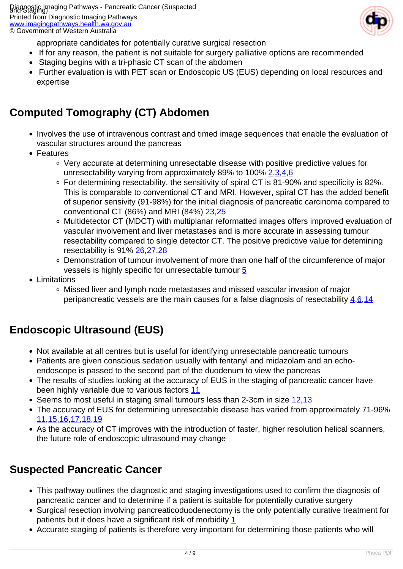

appropriate candidates for potentially curative surgical resection

- If for any reason, the patient is not suitable for surgery palliative options are recommended
- Staging begins with a tri-phasic CT scan of the abdomen
- Further evaluation is with PET scan or Endoscopic US (EUS) depending on local resources and expertise

### **Computed Tomography (CT) Abdomen**

- Involves the use of intravenous contrast and timed image sequences that enable the evaluation of vascular structures around the pancreas
- Features
	- Very accurate at determining unresectable disease with positive predictive values for unresectability varying from approximately 89% to 100% [2](index.php?option=com_content&view=article&id=57&tab=references#2)[,3](index.php?option=com_content&view=article&id=57&tab=references#3)[,4](index.php?option=com_content&view=article&id=57&tab=references#4)[,6](index.php?option=com_content&view=article&id=57&tab=references#6)
	- For determining resectability, the sensitivity of spiral CT is 81-90% and specificity is 82%. This is comparable to conventional CT and MRI. However, spiral CT has the added benefit of superior sensivity (91-98%) for the initial diagnosis of pancreatic carcinoma compared to conventional CT (86%) and MRI (84%) [23](index.php?option=com_content&view=article&id=57&tab=references#23)[,25](index.php?option=com_content&view=article&id=57&tab=references#25)
	- Multidetector CT (MDCT) with multiplanar reformatted images offers improved evaluation of vascular involvement and liver metastases and is more accurate in assessing tumour resectability compared to single detector CT. The positive predictive value for detemining resectability is 91% [26,](index.php?option=com_content&view=article&id=57&tab=references#26)[27](index.php?option=com_content&view=article&id=57&tab=references#27),[28](index.php?option=com_content&view=article&id=57&tab=references#28)
	- Demonstration of tumour involvement of more than one half of the circumference of major vessels is highly specific for unresectable tumour [5](index.php?option=com_content&view=article&id=57&tab=references#5)
- Limitations
	- Missed liver and lymph node metastases and missed vascular invasion of major peripancreatic vessels are the main causes for a false diagnosis of resectability [4](index.php?option=com_content&view=article&id=57&tab=references#4),[6](index.php?option=com_content&view=article&id=57&tab=references#6),[14](index.php?option=com_content&view=article&id=57&tab=references#14)

## **Endoscopic Ultrasound (EUS)**

- Not available at all centres but is useful for identifying unresectable pancreatic tumours
- Patients are given conscious sedation usually with fentanyl and midazolam and an echoendoscope is passed to the second part of the duodenum to view the pancreas
- The results of studies looking at the accuracy of EUS in the staging of pancreatic cancer have been highly variable due to various factors [11](index.php?option=com_content&view=article&id=57&tab=references#11)
- Seems to most useful in staging small tumours less than 2-3cm in size [12](index.php?option=com_content&view=article&id=57&tab=references#12),[13](index.php?option=com_content&view=article&id=57&tab=references#13)
- The accuracy of EUS for determining unresectable disease has varied from approximately 71-96% [11,](index.php?option=com_content&view=article&id=57&tab=references#11)[15](index.php?option=com_content&view=article&id=57&tab=references#15),[16](index.php?option=com_content&view=article&id=57&tab=references#16)[,17,](index.php?option=com_content&view=article&id=57&tab=references#17)[18](index.php?option=com_content&view=article&id=57&tab=references#18),[19](index.php?option=com_content&view=article&id=57&tab=references#19)
- As the accuracy of CT improves with the introduction of faster, higher resolution helical scanners, the future role of endoscopic ultrasound may change

### **Suspected Pancreatic Cancer**

- This pathway outlines the diagnostic and staging investigations used to confirm the diagnosis of pancreatic cancer and to determine if a patient is suitable for potentially curative surgery
- Surgical resection involving pancreaticoduodenectomy is the only potentially curative treatment for patients but it does have a significant risk of morbidity  $1$
- Accurate staging of patients is therefore very important for determining those patients who will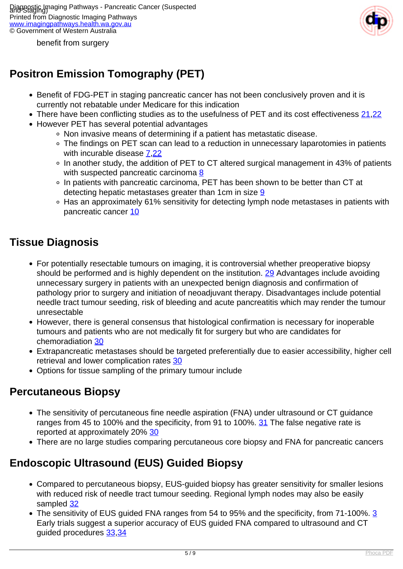

benefit from surgery

# **Positron Emission Tomography (PET)**

- Benefit of FDG-PET in staging pancreatic cancer has not been conclusively proven and it is currently not rebatable under Medicare for this indication
- There have been conflicting studies as to the usefulness of PET and its cost effectiveness [21](index.php?option=com_content&view=article&id=57&tab=references#21)[,22](index.php?option=com_content&view=article&id=57&tab=references#22)
- However PET has several potential advantages
	- Non invasive means of determining if a patient has metastatic disease.
	- The findings on PET scan can lead to a reduction in unnecessary laparotomies in patients with incurable disease  $7,22$  $7,22$  $7,22$
	- In another study, the addition of PET to CT altered surgical management in 43% of patients with suspected pancreatic carcinoma  $8$
	- In patients with pancreatic carcinoma, PET has been shown to be better than CT at detecting hepatic metastases greater than 1cm in size  $9$
	- Has an approximately 61% sensitivity for detecting lymph node metastases in patients with pancreatic cancer [10](index.php?option=com_content&view=article&id=57&tab=references#10)

#### **Tissue Diagnosis**

- For potentially resectable tumours on imaging, it is controversial whether preoperative biopsy should be performed and is highly dependent on the institution. [29](index.php?option=com_content&view=article&id=57&tab=references#29) Advantages include avoiding unnecessary surgery in patients with an unexpected benign diagnosis and confirmation of pathology prior to surgery and initiation of neoadjuvant therapy. Disadvantages include potential needle tract tumour seeding, risk of bleeding and acute pancreatitis which may render the tumour unresectable
- However, there is general consensus that histological confirmation is necessary for inoperable tumours and patients who are not medically fit for surgery but who are candidates for chemoradiation [30](index.php?option=com_content&view=article&id=57&tab=references#30)
- Extrapancreatic metastases should be targeted preferentially due to easier accessibility, higher cell retrieval and lower complication rates [30](index.php?option=com_content&view=article&id=57&tab=references#30)
- Options for tissue sampling of the primary tumour include

#### **Percutaneous Biopsy**

- The sensitivity of percutaneous fine needle aspiration (FNA) under ultrasound or CT guidance ranges from 45 to 100% and the specificity, from 91 to 100%. [31](index.php?option=com_content&view=article&id=57&tab=references#31) The false negative rate is reported at approximately 20% [30](index.php?option=com_content&view=article&id=57&tab=references#30)
- There are no large studies comparing percutaneous core biopsy and FNA for pancreatic cancers

## **Endoscopic Ultrasound (EUS) Guided Biopsy**

- Compared to percutaneous biopsy, EUS-guided biopsy has greater sensitivity for smaller lesions with reduced risk of needle tract tumour seeding. Regional lymph nodes may also be easily sampled [32](index.php?option=com_content&view=article&id=57&tab=references#32)
- The sensitivity of EUS guided FNA ranges from 54 to 95% and the specificity, from 71-100%. [3](index.php?option=com_content&view=article&id=57&tab=references#3) Early trials suggest a superior accuracy of EUS guided FNA compared to ultrasound and CT guided procedures [33](index.php?option=com_content&view=article&id=57&tab=references#33),[34](index.php?option=com_content&view=article&id=57&tab=references#34)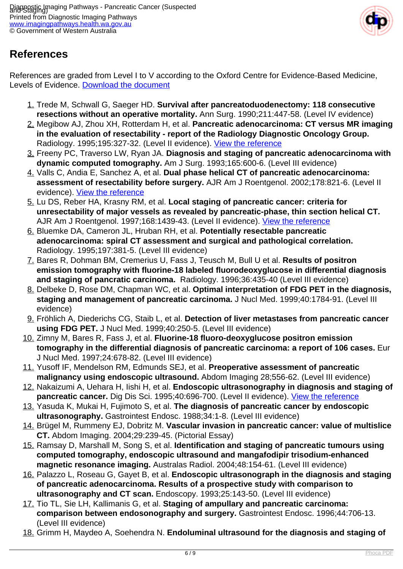

## **References**

References are graded from Level I to V according to the Oxford Centre for Evidence-Based Medicine, Levels of Evidence. [Download the document](http://www.cebm.net/wp-content/uploads/2014/06/CEBM-Levels-of-Evidence-2.1.pdf)

- 1. Trede M, Schwall G, Saeger HD. **Survival after pancreatoduodenectomy: 118 consecutive resections without an operative mortality.** Ann Surg. 1990;211:447-58. (Level IV evidence)
- 2. Megibow AJ, Zhou XH, Rotterdam H, et al. **Pancreatic adenocarcinoma: CT versus MR imaging in the evaluation of resectability - report of the Radiology Diagnostic Oncology Group.** Radiology. 1995;195:327-32. (Level II evidence). [View the reference](http://www.ncbi.nlm.nih.gov/entrez/query.fcgi?orig_db=PubMed&db=PubMed&cmd=Search&defaultField=Title+Word&term=Pancreatic+adenocarcinoma%3A+CT+versus+MR+imaging+in+the+evaluation+of+resectability+-+report+of+the+Radiology+Diagnostic+Oncology+Group)
- 3. Freeny PC, Traverso LW, Ryan JA. **Diagnosis and staging of pancreatic adenocarcinoma with dynamic computed tomography.** Am J Surg. 1993;165:600-6. (Level III evidence)
- 4. Valls C, Andia E, Sanchez A, et al. **Dual phase helical CT of pancreatic adenocarcinoma: assessment of resectability before surgery.** AJR Am J Roentgenol. 2002;178:821-6. (Level II evidence). [View the reference](http://www.ncbi.nlm.nih.gov/entrez/query.fcgi?orig_db=PubMed&db=PubMed&cmd=Search&defaultField=Title+Word&term=Dual+phase+helical+CT+of+pancreatic+adenocarcinoma%3A+assessment+of+resectability+before+surgery)
- 5. Lu DS, Reber HA, Krasny RM, et al. **Local staging of pancreatic cancer: criteria for unresectability of major vessels as revealed by pancreatic-phase, thin section helical CT.** AJR Am J Roentgenol. 1997;168:1439-43. (Level II evidence). [View the reference](http://www.ncbi.nlm.nih.gov/entrez/query.fcgi?orig_db=PubMed&db=PubMed&cmd=Search&defaultField=Title+Word&term=Local+staging+of+pancreatic+cancer%3A+criteria+for+unresectability+of+major+vessels+as+revealed+by+pancreatic-phase%2C+thin+section+helical+CT)
- 6. Bluemke DA, Cameron JL, Hruban RH, et al. **Potentially resectable pancreatic adenocarcinoma: spiral CT assessment and surgical and pathological correlation.** Radiology. 1995;197:381-5. (Level III evidence)
- 7. Bares R, Dohman BM, Cremerius U, Fass J, Teusch M, Bull U et al. **Results of positron emission tomography with fluorine-18 labeled fluorodeoxyglucose in differential diagnosis and staging of pancratic carcinoma.** Radiology. 1996;36:435-40 (Level III evidence)
- 8. Delbeke D, Rose DM, Chapman WC, et al. **Optimal interpretation of FDG PET in the diagnosis, staging and management of pancreatic carcinoma.** J Nucl Med. 1999;40:1784-91. (Level III evidence)
- 9. Fröhlich A, Diederichs CG, Staib L, et al. **Detection of liver metastases from pancreatic cancer using FDG PET.** J Nucl Med. 1999;40:250-5. (Level III evidence)
- 10. Zimny M, Bares R, Fass J, et al. **Fluorine-18 fluoro-deoxyglucose positron emission tomography in the differential diagnosis of pancreatic carcinoma: a report of 106 cases.** Eur J Nucl Med. 1997;24:678-82. (Level III evidence)
- 11. Yusoff IF, Mendelson RM, Edmunds SEJ, et al. **Preoperative assessment of pancreatic malignancy using endoscopic ultrasound.** Abdom Imaging 28;556-62. (Level III evidence)
- 12. Nakaizumi A, Uehara H, Iishi H, et al. **Endoscopic ultrasonography in diagnosis and staging of pancreatic cancer.** Dig Dis Sci. 1995;40:696-700. (Level II evidence). [View the reference](http://www.ncbi.nlm.nih.gov/entrez/query.fcgi?cmd=Retrieve&db=pubmed&dopt=Abstract&list_uids=7895567)
- 13. Yasuda K, Mukai H, Fujimoto S, et al. **The diagnosis of pancreatic cancer by endoscopic ultrasonography.** Gastrointest Endosc. 1988;34:1-8. (Level III evidence)
- 14. Brügel M, Rummeny EJ, Dobritz M. **Vascular invasion in pancreatic cancer: value of multislice CT.** Abdom Imaging. 2004;29:239-45. (Pictorial Essay)
- 15. Ramsay D, Marshall M, Song S, et al. **Identification and staging of pancreatic tumours using computed tomography, endoscopic ultrasound and mangafodipir trisodium-enhanced magnetic resonance imaging.** Australas Radiol. 2004;48:154-61. (Level III evidence)
- 16. Palazzo L, Roseau G, Gayet B, et al. **Endoscopic ultrasonograph in the diagnosis and staging of pancreatic adenocarcinoma. Results of a prospective study with comparison to ultrasonography and CT scan.** Endoscopy. 1993;25:143-50. (Level III evidence)
- 17. Tio TL, Sie LH, Kallimanis G, et al. **Staging of ampullary and pancreatic carcinoma: comparison between endosonography and surgery.** Gastrointest Endosc. 1996;44:706-13. (Level III evidence)
- 18. Grimm H, Maydeo A, Soehendra N. **Endoluminal ultrasound for the diagnosis and staging of**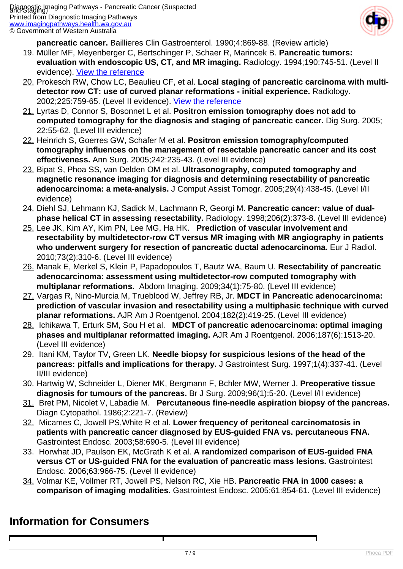

**pancreatic cancer.** Baillieres Clin Gastroenterol. 1990;4:869-88. (Review article)

- 19. Müller MF, Meyenberger C, Bertschinger P, Schaer R, Marincek B. **Pancreatic tumors: evaluation with endoscopic US, CT, and MR imaging.** Radiology. 1994;190:745-51. (Level II evidence). [View the reference](http://www.ncbi.nlm.nih.gov/entrez/query.fcgi?orig_db=PubMed&db=PubMed&cmd=Search&defaultField=Title+Word&term=Pancreatic+tumors%3A+evaluation+with+endoscopic+US%2C+CT%2C+and+MR+imaging)
- 20. Prokesch RW, Chow LC, Beaulieu CF, et al. **Local staging of pancreatic carcinoma with multidetector row CT: use of curved planar reformations - initial experience.** Radiology. 2002;225:759-65. (Level II evidence). [View the reference](http://www.ncbi.nlm.nih.gov/entrez/query.fcgi?orig_db=PubMed&db=PubMed&cmd=Search&defaultField=Title+Word&term=Local+staging+of+pancreatic+carcinoma+with+multi-detector+row+CT%3A+use+of+curved+planar+reformations+-+initial+experience)
- 21. Lyrtas D, Connor S, Bosonnet L et al. **Positron emission tomography does not add to computed tomography for the diagnosis and staging of pancreatic cancer.** Dig Surg. 2005; 22:55-62. (Level III evidence)
- 22. Heinrich S, Goerres GW, Schafer M et al. **Positron emission tomography/computed tomography influences on the management of resectable pancreatic cancer and its cost effectiveness.** Ann Surg. 2005;242:235-43. (Level III evidence)
- 23. Bipat S, Phoa SS, van Delden OM et al. **Ultrasonography, computed tomography and magnetic resonance imaging for diagnosis and determining resectability of pancreatic adenocarcinoma: a meta-analysis.** J Comput Assist Tomogr. 2005;29(4):438-45. (Level I/II evidence)
- 24. Diehl SJ, Lehmann KJ, Sadick M, Lachmann R, Georgi M. **Pancreatic cancer: value of dualphase helical CT in assessing resectability.** Radiology. 1998;206(2):373-8. (Level III evidence)
- 25. Lee JK, Kim AY, Kim PN, Lee MG, Ha HK. **Prediction of vascular involvement and resectability by multidetector-row CT versus MR imaging with MR angiography in patients who underwent surgery for resection of pancreatic ductal adenocarcinoma.** Eur J Radiol. 2010;73(2):310-6. (Level III evidence)
- 26. Manak E, Merkel S, Klein P, Papadopoulos T, Bautz WA, Baum U. **Resectability of pancreatic adenocarcinoma: assessment using multidetector-row computed tomography with multiplanar reformations.** Abdom Imaging. 2009;34(1):75-80. (Level III evidence)
- 27. Vargas R, Nino-Murcia M, Trueblood W, Jeffrey RB, Jr. **MDCT in Pancreatic adenocarcinoma: prediction of vascular invasion and resectability using a multiphasic technique with curved planar reformations.** AJR Am J Roentgenol. 2004;182(2):419-25. (Level III evidence)
- 28. Ichikawa T, Erturk SM, Sou H et al. **MDCT of pancreatic adenocarcinoma: optimal imaging phases and multiplanar reformatted imaging.** AJR Am J Roentgenol. 2006;187(6):1513-20. (Level III evidence)
- 29. Itani KM, Taylor TV, Green LK. **Needle biopsy for suspicious lesions of the head of the pancreas: pitfalls and implications for therapy.** J Gastrointest Surg. 1997;1(4):337-41. (Level II/III evidence)
- 30. Hartwig W, Schneider L, Diener MK, Bergmann F, Bchler MW, Werner J. **Preoperative tissue diagnosis for tumours of the pancreas.** Br J Surg. 2009;96(1):5-20. (Level I/II evidence)
- 31. Bret PM, Nicolet V, Labadie M. **Percutaneous fine-needle aspiration biopsy of the pancreas.** Diagn Cytopathol. 1986;2:221-7. (Review)
- 32. Micames C, Jowell PS,White R et al. **Lower frequency of peritoneal carcinomatosis in patients with pancreatic cancer diagnosed by EUS-guided FNA vs. percutaneous FNA.** Gastrointest Endosc. 2003;58:690-5. (Level III evidence)
- 33. Horwhat JD, Paulson EK, McGrath K et al. **A randomized comparison of EUS-guided FNA versus CT or US-guided FNA for the evaluation of pancreatic mass lesions.** Gastrointest Endosc. 2006;63:966-75. (Level II evidence)
- 34. Volmar KE, Vollmer RT, Jowell PS, Nelson RC, Xie HB. **Pancreatic FNA in 1000 cases: a comparison of imaging modalities.** Gastrointest Endosc. 2005;61:854-61. (Level III evidence)

### **Information for Consumers**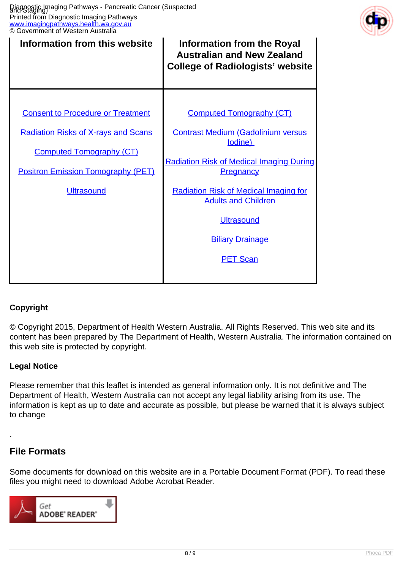

| Information from this website              | <b>Information from the Royal</b><br><b>Australian and New Zealand</b><br><b>College of Radiologists' website</b> |
|--------------------------------------------|-------------------------------------------------------------------------------------------------------------------|
|                                            |                                                                                                                   |
| <b>Consent to Procedure or Treatment</b>   | <b>Computed Tomography (CT)</b>                                                                                   |
| <b>Radiation Risks of X-rays and Scans</b> | <b>Contrast Medium (Gadolinium versus</b><br>lodine)                                                              |
| <b>Computed Tomography (CT)</b>            | <b>Radiation Risk of Medical Imaging During</b><br><b>Pregnancy</b>                                               |
| <b>Positron Emission Tomography (PET)</b>  |                                                                                                                   |
| <b>Ultrasound</b>                          | <b>Radiation Risk of Medical Imaging for</b><br><b>Adults and Children</b>                                        |
|                                            | <b>Ultrasound</b>                                                                                                 |
|                                            | <b>Biliary Drainage</b>                                                                                           |
|                                            | <b>PET Scan</b>                                                                                                   |
|                                            |                                                                                                                   |

#### **Copyright**

© Copyright 2015, Department of Health Western Australia. All Rights Reserved. This web site and its content has been prepared by The Department of Health, Western Australia. The information contained on this web site is protected by copyright.

#### **Legal Notice**

Please remember that this leaflet is intended as general information only. It is not definitive and The Department of Health, Western Australia can not accept any legal liability arising from its use. The information is kept as up to date and accurate as possible, but please be warned that it is always subject to change

#### **File Formats**

.

Some documents for download on this website are in a Portable Document Format (PDF). To read these files you might need to download Adobe Acrobat Reader.